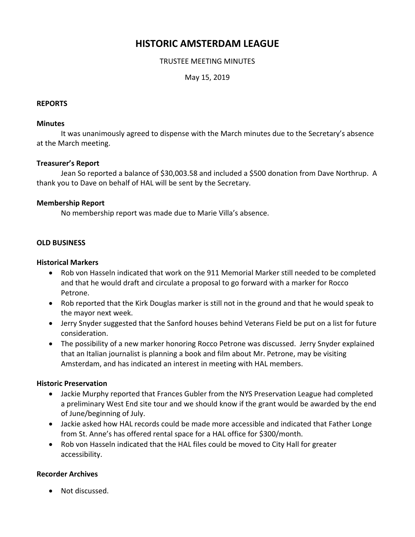# **HISTORIC AMSTERDAM LEAGUE**

#### TRUSTEE MEETING MINUTES

May 15, 2019

#### **REPORTS**

#### **Minutes**

It was unanimously agreed to dispense with the March minutes due to the Secretary's absence at the March meeting.

#### **Treasurer's Report**

Jean So reported a balance of \$30,003.58 and included a \$500 donation from Dave Northrup. A thank you to Dave on behalf of HAL will be sent by the Secretary.

#### **Membership Report**

No membership report was made due to Marie Villa's absence.

#### **OLD BUSINESS**

#### **Historical Markers**

- Rob von Hasseln indicated that work on the 911 Memorial Marker still needed to be completed and that he would draft and circulate a proposal to go forward with a marker for Rocco Petrone.
- Rob reported that the Kirk Douglas marker is still not in the ground and that he would speak to the mayor next week.
- Jerry Snyder suggested that the Sanford houses behind Veterans Field be put on a list for future consideration.
- The possibility of a new marker honoring Rocco Petrone was discussed. Jerry Snyder explained that an Italian journalist is planning a book and film about Mr. Petrone, may be visiting Amsterdam, and has indicated an interest in meeting with HAL members.

# **Historic Preservation**

- Jackie Murphy reported that Frances Gubler from the NYS Preservation League had completed a preliminary West End site tour and we should know if the grant would be awarded by the end of June/beginning of July.
- Jackie asked how HAL records could be made more accessible and indicated that Father Longe from St. Anne's has offered rental space for a HAL office for \$300/month.
- Rob von Hasseln indicated that the HAL files could be moved to City Hall for greater accessibility.

# **Recorder Archives**

• Not discussed.